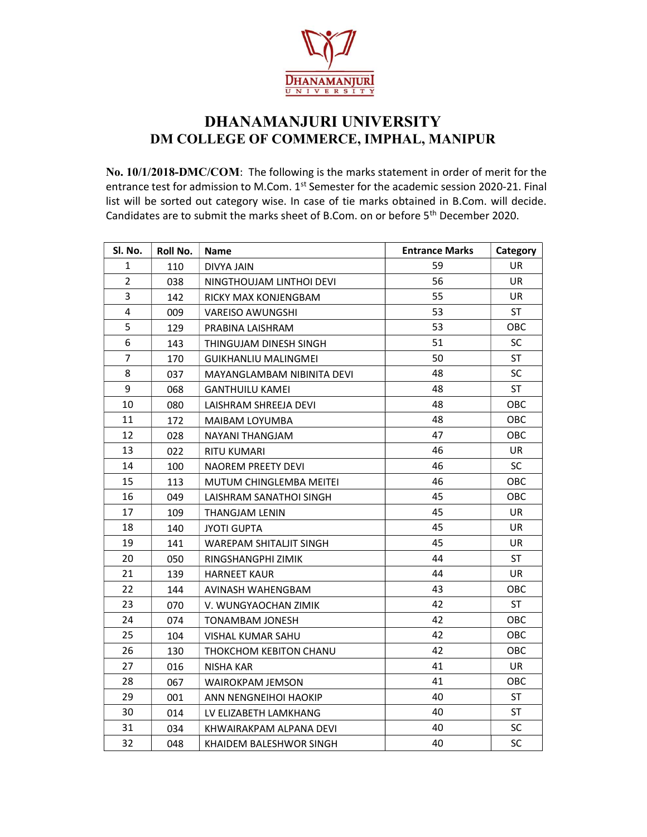

## DHANAMANJURI UNIVERSITY DM COLLEGE OF COMMERCE, IMPHAL, MANIPUR

No. 10/1/2018-DMC/COM: The following is the marks statement in order of merit for the entrance test for admission to M.Com. 1<sup>st</sup> Semester for the academic session 2020-21. Final list will be sorted out category wise. In case of tie marks obtained in B.Com. will decide. Candidates are to submit the marks sheet of B.Com. on or before 5th December 2020.

| Sl. No.        | Roll No. | Name                        | <b>Entrance Marks</b> | Category   |
|----------------|----------|-----------------------------|-----------------------|------------|
| 1              | 110      | DIVYA JAIN                  | 59                    | UR         |
| $\overline{2}$ | 038      | NINGTHOUJAM LINTHOI DEVI    | 56                    | <b>UR</b>  |
| 3              | 142      | RICKY MAX KONJENGBAM        | 55                    | UR.        |
| 4              | 009      | <b>VAREISO AWUNGSHI</b>     | 53                    | <b>ST</b>  |
| 5              | 129      | PRABINA LAISHRAM            | 53                    | OBC        |
| 6              | 143      | THINGUJAM DINESH SINGH      | 51                    | <b>SC</b>  |
| $\overline{7}$ | 170      | <b>GUIKHANLIU MALINGMEI</b> | 50                    | ST         |
| 8              | 037      | MAYANGLAMBAM NIBINITA DEVI  | 48                    | SC         |
| 9              | 068      | <b>GANTHUILU KAMEI</b>      | 48                    | ST         |
| 10             | 080      | LAISHRAM SHREEJA DEVI       | 48                    | OBC        |
| 11             | 172      | MAIBAM LOYUMBA              | 48                    | OBC        |
| 12             | 028      | NAYANI THANGJAM             | 47                    | OBC        |
| 13             | 022      | <b>RITU KUMARI</b>          | 46                    | <b>UR</b>  |
| 14             | 100      | NAOREM PREETY DEVI          | 46                    | <b>SC</b>  |
| 15             | 113      | MUTUM CHINGLEMBA MEITEI     | 46                    | OBC        |
| 16             | 049      | LAISHRAM SANATHOI SINGH     | 45                    | OBC        |
| 17             | 109      | THANGJAM LENIN              | 45                    | UR         |
| 18             | 140      | <b>JYOTI GUPTA</b>          | 45                    | UR.        |
| 19             | 141      | WAREPAM SHITALJIT SINGH     | 45                    | UR         |
| 20             | 050      | RINGSHANGPHI ZIMIK          | 44                    | <b>ST</b>  |
| 21             | 139      | <b>HARNEET KAUR</b>         | 44                    | UR.        |
| 22             | 144      | AVINASH WAHENGBAM           | 43                    | OBC        |
| 23             | 070      | V. WUNGYAOCHAN ZIMIK        | 42                    | <b>ST</b>  |
| 24             | 074      | TONAMBAM JONESH             | 42                    | OBC        |
| 25             | 104      | VISHAL KUMAR SAHU           | 42                    | OBC        |
| 26             | 130      | THOKCHOM KEBITON CHANU      | 42                    | OBC        |
| 27             | 016      | <b>NISHA KAR</b>            | 41                    | <b>UR</b>  |
| 28             | 067      | WAIROKPAM JEMSON            | 41                    | <b>OBC</b> |
| 29             | 001      | ANN NENGNEIHOI HAOKIP       | 40                    | <b>ST</b>  |
| 30             | 014      | LV ELIZABETH LAMKHANG       | 40                    | ST         |
| 31             | 034      | KHWAIRAKPAM ALPANA DEVI     | 40                    | SC         |
| 32             | 048      | KHAIDEM BALESHWOR SINGH     | 40                    | SC         |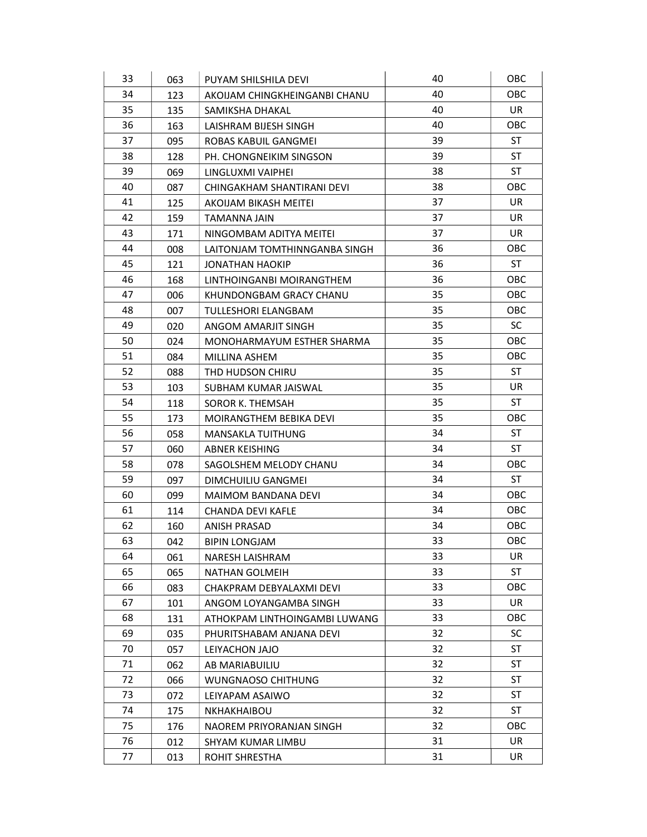| 33 | 063 | PUYAM SHILSHILA DEVI          | 40 | OBC        |
|----|-----|-------------------------------|----|------------|
| 34 | 123 | AKOIJAM CHINGKHEINGANBI CHANU | 40 | OBC        |
| 35 | 135 | SAMIKSHA DHAKAL               | 40 | <b>UR</b>  |
| 36 | 163 | LAISHRAM BIJESH SINGH         | 40 | <b>OBC</b> |
| 37 | 095 | ROBAS KABUIL GANGMEI          | 39 | <b>ST</b>  |
| 38 | 128 | PH. CHONGNEIKIM SINGSON       | 39 | ST         |
| 39 | 069 | LINGLUXMI VAIPHEI             | 38 | <b>ST</b>  |
| 40 | 087 | CHINGAKHAM SHANTIRANI DEVI    | 38 | <b>OBC</b> |
| 41 | 125 | AKOIJAM BIKASH MEITEI         | 37 | UR         |
| 42 | 159 | TAMANNA JAIN                  | 37 | UR.        |
| 43 | 171 | NINGOMBAM ADITYA MEITEI       | 37 | UR.        |
| 44 | 008 | LAITONJAM TOMTHINNGANBA SINGH | 36 | OBC        |
| 45 | 121 | JONATHAN HAOKIP               | 36 | ST         |
| 46 | 168 | LINTHOINGANBI MOIRANGTHEM     | 36 | OBC        |
| 47 | 006 | KHUNDONGBAM GRACY CHANU       | 35 | OBC        |
| 48 | 007 | TULLESHORI ELANGBAM           | 35 | OBC        |
| 49 | 020 | ANGOM AMARJIT SINGH           | 35 | <b>SC</b>  |
| 50 | 024 | MONOHARMAYUM ESTHER SHARMA    | 35 | <b>OBC</b> |
| 51 | 084 | MILLINA ASHEM                 | 35 | <b>OBC</b> |
| 52 | 088 | THD HUDSON CHIRU              | 35 | ST         |
| 53 | 103 | SUBHAM KUMAR JAISWAL          | 35 | UR         |
| 54 | 118 | SOROR K. THEMSAH              | 35 | <b>ST</b>  |
| 55 | 173 | MOIRANGTHEM BEBIKA DEVI       | 35 | OBC        |
| 56 | 058 | MANSAKLA TUITHUNG             | 34 | <b>ST</b>  |
| 57 | 060 | <b>ABNER KEISHING</b>         | 34 | ST         |
| 58 | 078 | SAGOLSHEM MELODY CHANU        | 34 | OBC        |
| 59 | 097 | DIMCHUILIU GANGMEI            | 34 | ST         |
| 60 | 099 | <b>MAIMOM BANDANA DEVI</b>    | 34 | OBC        |
| 61 | 114 | CHANDA DEVI KAFLE             | 34 | <b>OBC</b> |
| 62 | 160 | ANISH PRASAD                  | 34 | OBC        |
| 63 | 042 | <b>BIPIN LONGJAM</b>          | 33 | OBC        |
| 64 | 061 | <b>NARESH LAISHRAM</b>        | 33 | UR         |
| 65 | 065 | NATHAN GOLMEIH                | 33 | <b>ST</b>  |
| 66 | 083 | CHAKPRAM DEBYALAXMI DEVI      | 33 | OBC        |
| 67 | 101 | ANGOM LOYANGAMBA SINGH        | 33 | UR         |
| 68 | 131 | ATHOKPAM LINTHOINGAMBI LUWANG | 33 | OBC        |
| 69 | 035 | PHURITSHABAM ANJANA DEVI      | 32 | <b>SC</b>  |
| 70 | 057 | LEIYACHON JAJO                | 32 | <b>ST</b>  |
| 71 | 062 | AB MARIABUILIU                | 32 | ST         |
| 72 | 066 | <b>WUNGNAOSO CHITHUNG</b>     | 32 | <b>ST</b>  |
| 73 | 072 | LEIYAPAM ASAIWO               | 32 | ST         |
| 74 | 175 | NKHAKHAIBOU                   | 32 | <b>ST</b>  |
| 75 | 176 | NAOREM PRIYORANJAN SINGH      | 32 | OBC        |
| 76 | 012 | SHYAM KUMAR LIMBU             | 31 | UR         |
| 77 | 013 | ROHIT SHRESTHA                | 31 | UR         |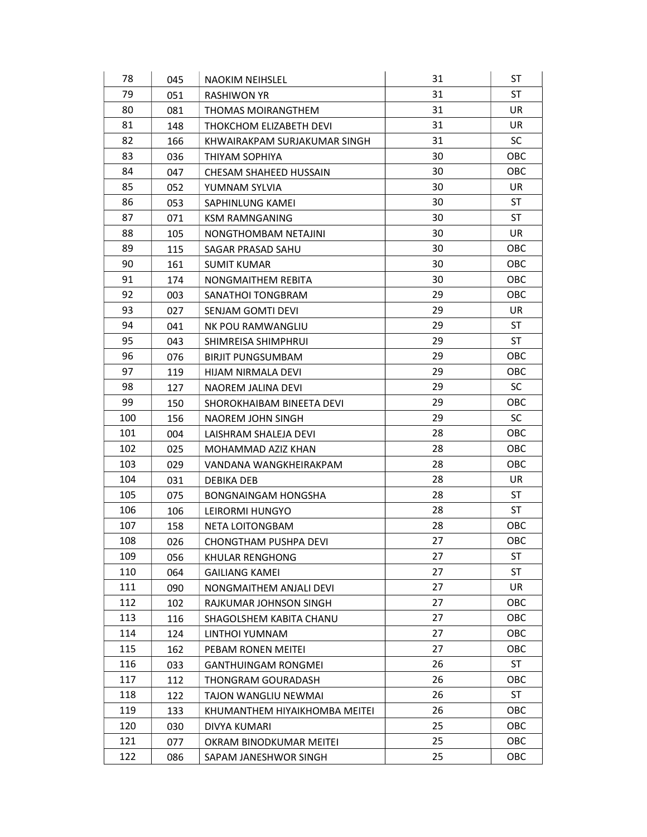| 78  | 045 | <b>NAOKIM NEIHSLEL</b>        | 31 | <b>ST</b> |
|-----|-----|-------------------------------|----|-----------|
| 79  | 051 | RASHIWON YR                   | 31 | <b>ST</b> |
| 80  | 081 | <b>THOMAS MOIRANGTHEM</b>     | 31 | UR        |
| 81  | 148 | THOKCHOM ELIZABETH DEVI       | 31 | UR.       |
| 82  | 166 | KHWAIRAKPAM SURJAKUMAR SINGH  | 31 | <b>SC</b> |
| 83  | 036 | THIYAM SOPHIYA                | 30 | OBC       |
| 84  | 047 | CHESAM SHAHEED HUSSAIN        | 30 | OBC       |
| 85  | 052 | YUMNAM SYLVIA                 | 30 | UR        |
| 86  | 053 | SAPHINLUNG KAMEI              | 30 | <b>ST</b> |
| 87  | 071 | KSM RAMNGANING                | 30 | <b>ST</b> |
| 88  | 105 | NONGTHOMBAM NETAJINI          | 30 | UR.       |
| 89  | 115 | SAGAR PRASAD SAHU             | 30 | OBC       |
| 90  | 161 | <b>SUMIT KUMAR</b>            | 30 | OBC       |
| 91  | 174 | NONGMAITHEM REBITA            | 30 | OBC       |
| 92  | 003 | SANATHOI TONGBRAM             | 29 | OBC       |
| 93  | 027 | SENJAM GOMTI DEVI             | 29 | UR        |
| 94  | 041 | NK POU RAMWANGLIU             | 29 | <b>ST</b> |
| 95  | 043 | SHIMREISA SHIMPHRUI           | 29 | ST        |
| 96  | 076 | <b>BIRJIT PUNGSUMBAM</b>      | 29 | OBC       |
| 97  | 119 | HIJAM NIRMALA DEVI            | 29 | OBC       |
| 98  | 127 | NAOREM JALINA DEVI            | 29 | <b>SC</b> |
| 99  | 150 | SHOROKHAIBAM BINEETA DEVI     | 29 | OBC       |
| 100 | 156 | NAOREM JOHN SINGH             | 29 | <b>SC</b> |
| 101 | 004 | LAISHRAM SHALEJA DEVI         | 28 | OBC       |
| 102 | 025 | MOHAMMAD AZIZ KHAN            | 28 | OBC       |
| 103 | 029 | VANDANA WANGKHEIRAKPAM        | 28 | OBC       |
| 104 | 031 | DEBIKA DEB                    | 28 | UR        |
| 105 | 075 | <b>BONGNAINGAM HONGSHA</b>    | 28 | <b>ST</b> |
| 106 | 106 | LEIRORMI HUNGYO               | 28 | ST        |
| 107 | 158 | <b>NETA LOITONGBAM</b>        | 28 | OBC       |
| 108 | 026 | CHONGTHAM PUSHPA DEVI         | 27 | OBC       |
| 109 | 056 | KHULAR RENGHONG               | 27 | ST        |
| 110 | 064 | <b>GAILIANG KAMEI</b>         | 27 | <b>ST</b> |
| 111 | 090 | NONGMAITHEM ANJALI DEVI       | 27 | UR        |
| 112 | 102 | RAJKUMAR JOHNSON SINGH        | 27 | OBC       |
| 113 | 116 | SHAGOLSHEM KABITA CHANU       | 27 | OBC       |
| 114 | 124 | LINTHOI YUMNAM                | 27 | OBC       |
| 115 | 162 | PEBAM RONEN MEITEI            | 27 | OBC       |
| 116 | 033 | <b>GANTHUINGAM RONGMEI</b>    | 26 | ST        |
| 117 | 112 | THONGRAM GOURADASH            | 26 | OBC       |
| 118 | 122 | TAJON WANGLIU NEWMAI          | 26 | ST        |
| 119 | 133 | KHUMANTHEM HIYAIKHOMBA MEITEI | 26 | OBC       |
| 120 | 030 | DIVYA KUMARI                  | 25 | OBC       |
| 121 | 077 | OKRAM BINODKUMAR MEITEI       | 25 | OBC       |
| 122 | 086 | SAPAM JANESHWOR SINGH         | 25 | OBC       |